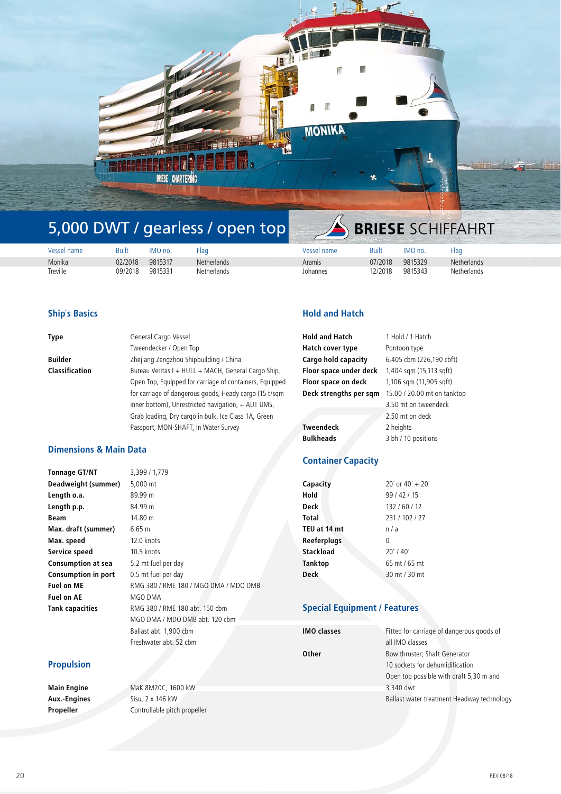

# 5,000 DWT / gearless / open top

| Vessel name | Built   | IMO no. | Flag               | Vessel name | Built   | IMO no. | Flag               |
|-------------|---------|---------|--------------------|-------------|---------|---------|--------------------|
| Monika      | 02/2018 | 9815317 | <b>Netherlands</b> | Aramis      | 07/2018 | 9815329 | <b>Netherlands</b> |
| Treville    | 09/2018 | 9815331 | <b>Netherlands</b> | Johannes    | 12/2018 | 9815343 | <b>Netherlands</b> |

#### **Ship`s Basics**

| General Cargo Vessel                                    |
|---------------------------------------------------------|
| Tweendecker / Open Top                                  |
| Zhejiang Zengzhou Shipbuilding / China                  |
| Bureau Veritas I + HULL + MACH, General Cargo Ship,     |
| Open Top, Equipped for carriage of containers, Equipped |
| for carriage of dangerous goods, Heady cargo (15 t/sqm  |
| inner bottom), Unrestricted navigation, + AUT UMS,      |
| Grab loading, Dry cargo in bulk, Ice Class 1A, Green    |
| Passport, MON-SHAFT, In Water Survey                    |
|                                                         |

### **Dimensions & Main Data**

| <b>Tonnage GT/NT</b>       | 3,399 / 1,779                         |
|----------------------------|---------------------------------------|
| Deadweight (summer)        | 5,000 mt                              |
| Length o.a.                | 89.99 m                               |
| Length p.p.                | 84.99 m                               |
| Beam                       | 14.80 m                               |
| Max. draft (summer)        | 6.65 m                                |
| Max. speed                 | 12.0 knots                            |
| Service speed              | 10.5 knots                            |
| Consumption at sea         | 5.2 mt fuel per day                   |
| <b>Consumption in port</b> | 0.5 mt fuel per day                   |
| Fuel on ME                 | RMG 380 / RME 180 / MGO DMA / MDO DMB |
| Fuel on AE                 | MGO DMA                               |
| Tank capacities            | RMG 380 / RME 180 abt. 150 cbm        |
|                            | MGO DMA / MDO DMB abt. 120 cbm        |
|                            | Ballast abt. 1,900 cbm                |
|                            | Freshwater abt. 52 cbm                |

# **Propulsion**

**Main Engine** MaK 8M20C, 1600 kW **Aux.-Engines** Sisu, 2 x 146 kW **Propeller** Controllable pitch propeller

# **Hold and Hatch**

| <b>Hold and Hatch</b>  | 1 Hold / 1 Hatch            |
|------------------------|-----------------------------|
| Hatch cover type       | Pontoon type                |
| Cargo hold capacity    | 6,405 cbm (226,190 cbft)    |
| Floor space under deck | 1,404 sqm (15,113 sqft)     |
| Floor space on deck    | 1,106 sqm (11,905 sqft)     |
| Deck strengths per sqm | 15.00 / 20.00 mt on tanktop |
|                        | 3.50 mt on tweendeck        |
|                        | 2.50 mt on deck             |
| <b>Tweendeck</b>       | 2 heights                   |
| <b>Bulkheads</b>       | 3 bh / 10 positions         |
|                        |                             |

**BRIESE** SCHIFFAHRT

# **Container Capacity**

| Capacity     | $20'$ or $40' + 20'$ |
|--------------|----------------------|
| Hold         | 99/42/15             |
| Deck         | 132/60/12            |
| Total        | 231 / 102 / 27       |
| TEU at 14 mt | n/a                  |
| Reeferplugs  | <sup>0</sup>         |
| Stackload    | $20'$ / 40'          |
| Tanktop      | 65 mt / 65 mt        |
| <b>Deck</b>  | 30 mt / 30 mt        |
|              |                      |

# **Special Equipment / Features**

| <b>IMO classes</b> | Fitted for carriage of dangerous goods of  |  |
|--------------------|--------------------------------------------|--|
|                    | all IMO classes                            |  |
| Other              | Bow thruster; Shaft Generator              |  |
|                    | 10 sockets for dehumidification            |  |
|                    | Open top possible with draft 5,30 m and    |  |
|                    | 3,340 dwt                                  |  |
|                    | Ballast water treatment Headway technology |  |